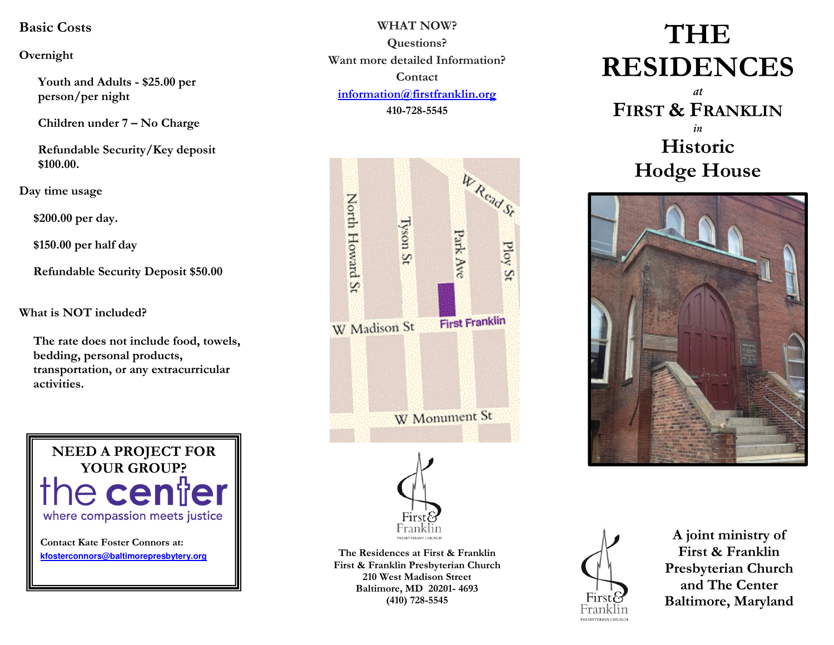## Basic Costs

### Overnight

Youth and Adults - \$25.00 per person/per night

Children under 7 – No Charge

Refundable Security/Key deposit \$100.00.

Day time usage

\$200.00 per day.

\$150.00 per half day

Refundable Security Deposit \$50.00

What is NOT included?

The rate does not include food, towels, bedding, personal products, transportation, or any extracurricular activities.



WHAT NOW? Questions? Want more detailed Information? Contact information@firstfranklin.org410-728-5545



The Residences at First & Franklin First & Franklin Presbyterian Church 210 West Madison Street Baltimore, MD 20201- 4693 (410) 728-5545

# THE RESIDENCES

at FIRST & FRANKLIN i Historic Hodge House





A joint ministry of First & Franklin Presbyterian Church and The Center Baltimore, Maryland